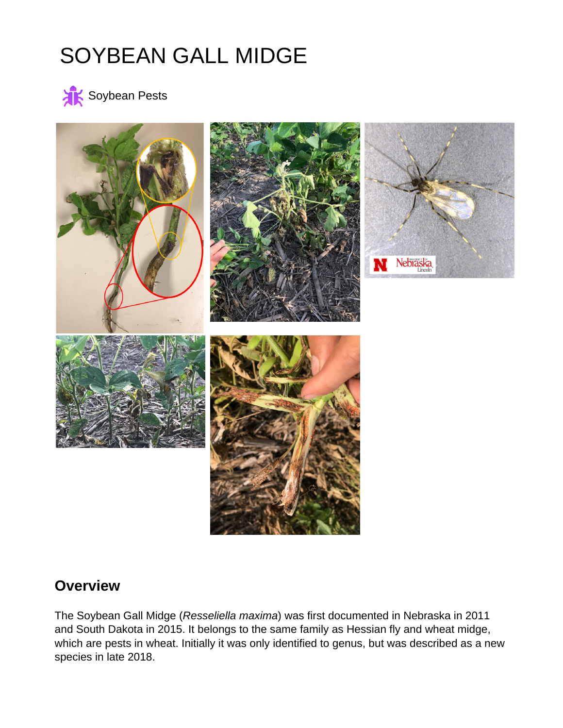# SOYBEAN GALL MIDGE





### **Overview**

The Soybean Gall Midge (Resseliella maxima) was first documented in Nebraska in 2011 and South Dakota in 2015. It belongs to the same family as Hessian fly and wheat midge, which are pests in wheat. Initially it was only identified to genus, but was described as a new species in late 2018.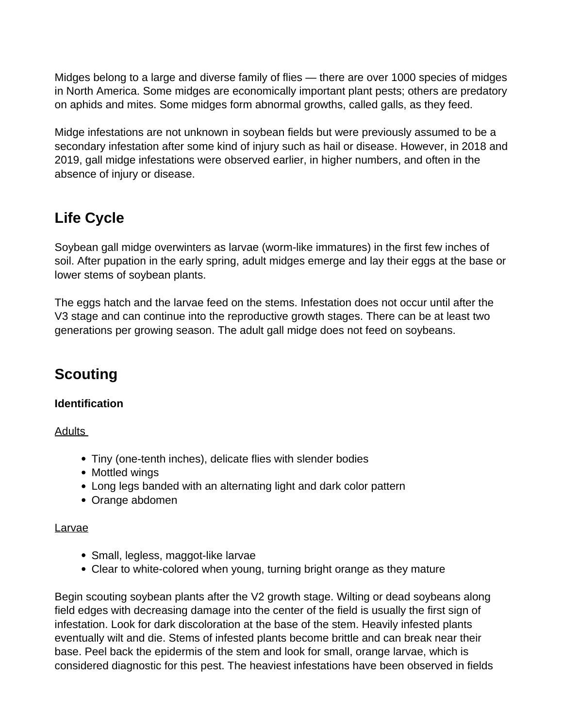Midges belong to a large and diverse family of flies — there are over 1000 species of midges in North America. Some midges are economically important plant pests; others are predatory on aphids and mites. Some midges form abnormal growths, called galls, as they feed.

Midge infestations are not unknown in soybean fields but were previously assumed to be a secondary infestation after some kind of injury such as hail or disease. However, in 2018 and 2019, gall midge infestations were observed earlier, in higher numbers, and often in the absence of injury or disease.

# **Life Cycle**

Soybean gall midge overwinters as larvae (worm-like immatures) in the first few inches of soil. After pupation in the early spring, adult midges emerge and lay their eggs at the base or lower stems of soybean plants.

The eggs hatch and the larvae feed on the stems. Infestation does not occur until after the V3 stage and can continue into the reproductive growth stages. There can be at least two generations per growing season. The adult gall midge does not feed on soybeans.

# **Scouting**

#### **Identification**

Adults

- Tiny (one-tenth inches), delicate flies with slender bodies
- Mottled wings
- Long legs banded with an alternating light and dark color pattern
- Orange abdomen

#### **Larvae**

- Small, legless, maggot-like larvae
- Clear to white-colored when young, turning bright orange as they mature

Begin scouting soybean plants after the V2 growth stage. Wilting or dead soybeans along field edges with decreasing damage into the center of the field is usually the first sign of infestation. Look for dark discoloration at the base of the stem. Heavily infested plants eventually wilt and die. Stems of infested plants become brittle and can break near their base. Peel back the epidermis of the stem and look for small, orange larvae, which is considered diagnostic for this pest. The heaviest infestations have been observed in fields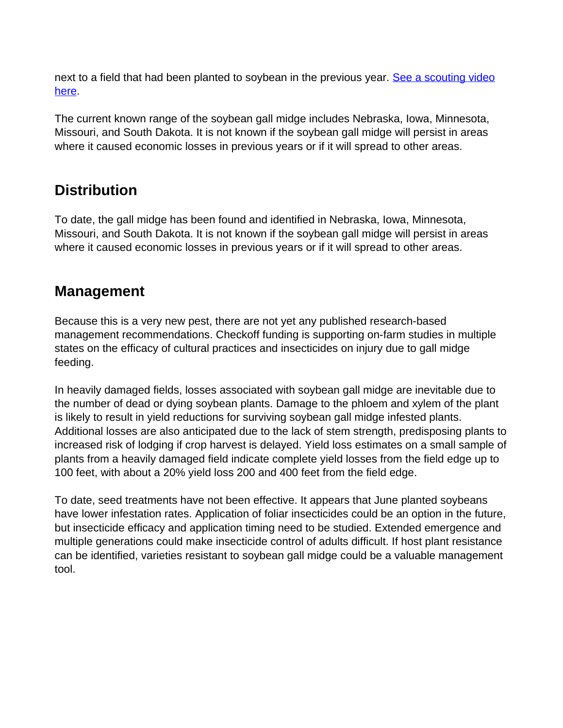next to a field that had been planted to soybean in the previous year. [See a scouting video](https://twitter.com/i/status/1156569934811598848) [here.](https://twitter.com/i/status/1156569934811598848)

The current known range of the soybean gall midge includes Nebraska, Iowa, Minnesota, Missouri, and South Dakota. It is not known if the soybean gall midge will persist in areas where it caused economic losses in previous years or if it will spread to other areas.

# **Distribution**

To date, the gall midge has been found and identified in Nebraska, Iowa, Minnesota, Missouri, and South Dakota. It is not known if the soybean gall midge will persist in areas where it caused economic losses in previous years or if it will spread to other areas.

## **Management**

Because this is a very new pest, there are not yet any published research-based management recommendations. Checkoff funding is supporting on-farm studies in multiple states on the efficacy of cultural practices and insecticides on injury due to gall midge feeding.

In heavily damaged fields, losses associated with soybean gall midge are inevitable due to the number of dead or dying soybean plants. Damage to the phloem and xylem of the plant is likely to result in yield reductions for surviving soybean gall midge infested plants. Additional losses are also anticipated due to the lack of stem strength, predisposing plants to increased risk of lodging if crop harvest is delayed. Yield loss estimates on a small sample of plants from a heavily damaged field indicate complete yield losses from the field edge up to 100 feet, with about a 20% yield loss 200 and 400 feet from the field edge.

To date, seed treatments have not been effective. It appears that June planted soybeans have lower infestation rates. Application of foliar insecticides could be an option in the future, but insecticide efficacy and application timing need to be studied. Extended emergence and multiple generations could make insecticide control of adults difficult. If host plant resistance can be identified, varieties resistant to soybean gall midge could be a valuable management tool.